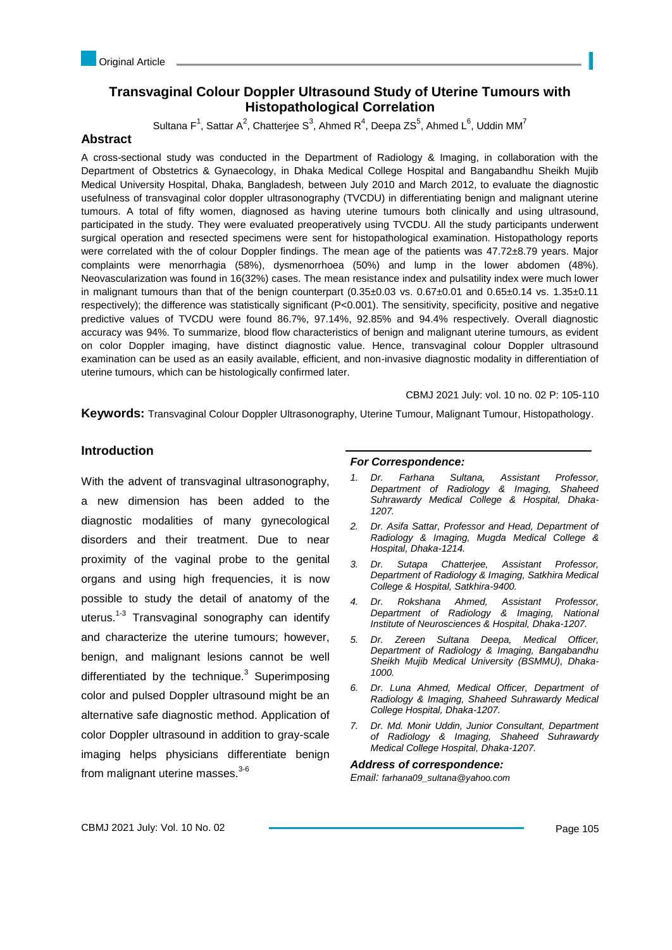# **Transvaginal Colour Doppler Ultrasound Study of Uterine Tumours with Histopathological Correlation**

Sultana F<sup>1</sup>, Sattar A<sup>2</sup>, Chatterjee S<sup>3</sup>, Ahmed R<sup>4</sup>, Deepa ZS<sup>5</sup>, Ahmed L<sup>6</sup>, Uddin MM<sup>7</sup>

## **Abstract**

A cross-sectional study was conducted in the Department of Radiology & Imaging, in collaboration with the Department of Obstetrics & Gynaecology, in Dhaka Medical College Hospital and Bangabandhu Sheikh Mujib Medical University Hospital, Dhaka, Bangladesh, between July 2010 and March 2012, to evaluate the diagnostic usefulness of transvaginal color doppler ultrasonography (TVCDU) in differentiating benign and malignant uterine tumours. A total of fifty women, diagnosed as having uterine tumours both clinically and using ultrasound, participated in the study. They were evaluated preoperatively using TVCDU. All the study participants underwent surgical operation and resected specimens were sent for histopathological examination. Histopathology reports were correlated with the of colour Doppler findings. The mean age of the patients was 47.72±8.79 years. Major complaints were menorrhagia (58%), dysmenorrhoea (50%) and lump in the lower abdomen (48%). Neovascularization was found in 16(32%) cases. The mean resistance index and pulsatility index were much lower in malignant tumours than that of the benign counterpart (0.35±0.03 vs. 0.67±0.01 and 0.65±0.14 vs. 1.35±0.11 respectively); the difference was statistically significant (P<0.001). The sensitivity, specificity, positive and negative predictive values of TVCDU were found 86.7%, 97.14%, 92.85% and 94.4% respectively. Overall diagnostic accuracy was 94%. To summarize, blood flow characteristics of benign and malignant uterine tumours, as evident on color Doppler imaging, have distinct diagnostic value. Hence, transvaginal colour Doppler ultrasound examination can be used as an easily available, efficient, and non-invasive diagnostic modality in differentiation of uterine tumours, which can be histologically confirmed later.

CBMJ 2021 July: vol. 10 no. 02 P: 105-110

**Keywords:** Transvaginal Colour Doppler Ultrasonography, Uterine Tumour, Malignant Tumour, Histopathology.

## **Introduction**

With the advent of transvaginal ultrasonography, a new dimension has been added to the diagnostic modalities of many gynecological disorders and their treatment. Due to near proximity of the vaginal probe to the genital organs and using high frequencies, it is now possible to study the detail of anatomy of the uterus.<sup>1-3</sup> Transvaginal sonography can identify and characterize the uterine tumours; however, benign, and malignant lesions cannot be well differentiated by the technique. $3$  Superimposing color and pulsed Doppler ultrasound might be an alternative safe diagnostic method. Application of color Doppler ultrasound in addition to gray-scale imaging helps physicians differentiate benign from malignant uterine masses. $3-6$ 

### *For Correspondence:*

- *1. Dr. Farhana Sultana, Assistant Professor, Department of Radiology & Imaging, Shaheed Suhrawardy Medical College & Hospital, Dhaka-1207.*
- *2. Dr. Asifa Sattar, Professor and Head, Department of Radiology & Imaging, Mugda Medical College & Hospital, Dhaka-1214.*
- *3. Dr. Sutapa Chatterjee, Assistant Professor, Department of Radiology & Imaging, Satkhira Medical College & Hospital, Satkhira-9400.*
- *4. Dr. Rokshana Ahmed, Assistant Professor, Department of Radiology & Imaging, National Institute of Neurosciences & Hospital, Dhaka-1207.*
- *5. Dr. Zereen Sultana Deepa, Medical Officer, Department of Radiology & Imaging, Bangabandhu Sheikh Mujib Medical University (BSMMU), Dhaka-1000.*
- *6. Dr. Luna Ahmed, Medical Officer, Department of Radiology & Imaging, Shaheed Suhrawardy Medical College Hospital, Dhaka-1207.*
- *7. Dr. Md. Monir Uddin, Junior Consultant, Department of Radiology & Imaging, Shaheed Suhrawardy Medical College Hospital, Dhaka-1207.*

### *Address of correspondence:*

*Email: farhana09\_sultana@yahoo.com*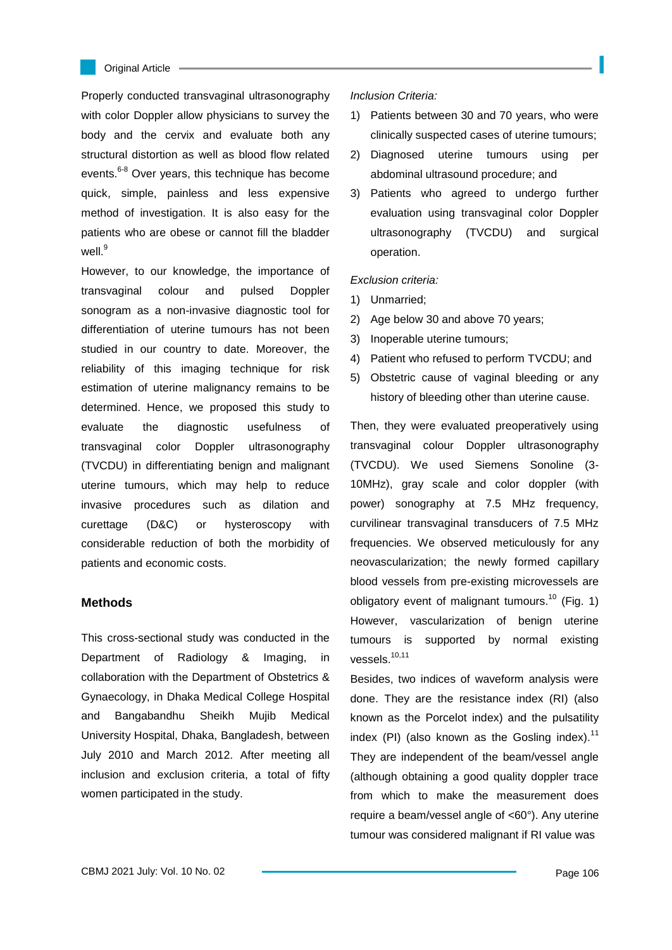Properly conducted transvaginal ultrasonography with color Doppler allow physicians to survey the body and the cervix and evaluate both any structural distortion as well as blood flow related events.<sup>6-8</sup> Over years, this technique has become quick, simple, painless and less expensive method of investigation. It is also easy for the patients who are obese or cannot fill the bladder well.<sup>9</sup>

However, to our knowledge, the importance of transvaginal colour and pulsed Doppler sonogram as a non-invasive diagnostic tool for differentiation of uterine tumours has not been studied in our country to date. Moreover, the reliability of this imaging technique for risk estimation of uterine malignancy remains to be determined. Hence, we proposed this study to evaluate the diagnostic usefulness of transvaginal color Doppler ultrasonography (TVCDU) in differentiating benign and malignant uterine tumours, which may help to reduce invasive procedures such as dilation and curettage (D&C) or hysteroscopy with considerable reduction of both the morbidity of patients and economic costs.

## **Methods**

This cross-sectional study was conducted in the Department of Radiology & Imaging, in collaboration with the Department of Obstetrics & Gynaecology, in Dhaka Medical College Hospital and Bangabandhu Sheikh Mujib Medical University Hospital, Dhaka, Bangladesh, between July 2010 and March 2012. After meeting all inclusion and exclusion criteria, a total of fifty women participated in the study.

*Inclusion Criteria:*

- 1) Patients between 30 and 70 years, who were clinically suspected cases of uterine tumours;
- 2) Diagnosed uterine tumours using per abdominal ultrasound procedure; and
- 3) Patients who agreed to undergo further evaluation using transvaginal color Doppler ultrasonography (TVCDU) and surgical operation.

### *Exclusion criteria:*

- 1) Unmarried;
- 2) Age below 30 and above 70 years;
- 3) Inoperable uterine tumours;
- 4) Patient who refused to perform TVCDU; and
- 5) Obstetric cause of vaginal bleeding or any history of bleeding other than uterine cause.

Then, they were evaluated preoperatively using transvaginal colour Doppler ultrasonography (TVCDU). We used Siemens Sonoline (3- 10MHz), gray scale and color doppler (with power) sonography at 7.5 MHz frequency, curvilinear transvaginal transducers of 7.5 MHz frequencies. We observed meticulously for any neovascularization; the newly formed capillary blood vessels from pre-existing microvessels are obligatory event of malignant tumours.<sup>10</sup> (Fig. 1) However, vascularization of benign uterine tumours is supported by normal existing vessels.<sup>10,11</sup>

Besides, two indices of waveform analysis were done. They are the resistance index (RI) (also known as the Porcelot index) and the pulsatility index (PI) (also known as the Gosling index).<sup>11</sup> They are independent of the beam/vessel angle (although obtaining a good quality doppler trace from which to make the measurement does require a beam/vessel angle of <60°). Any uterine tumour was considered malignant if RI value was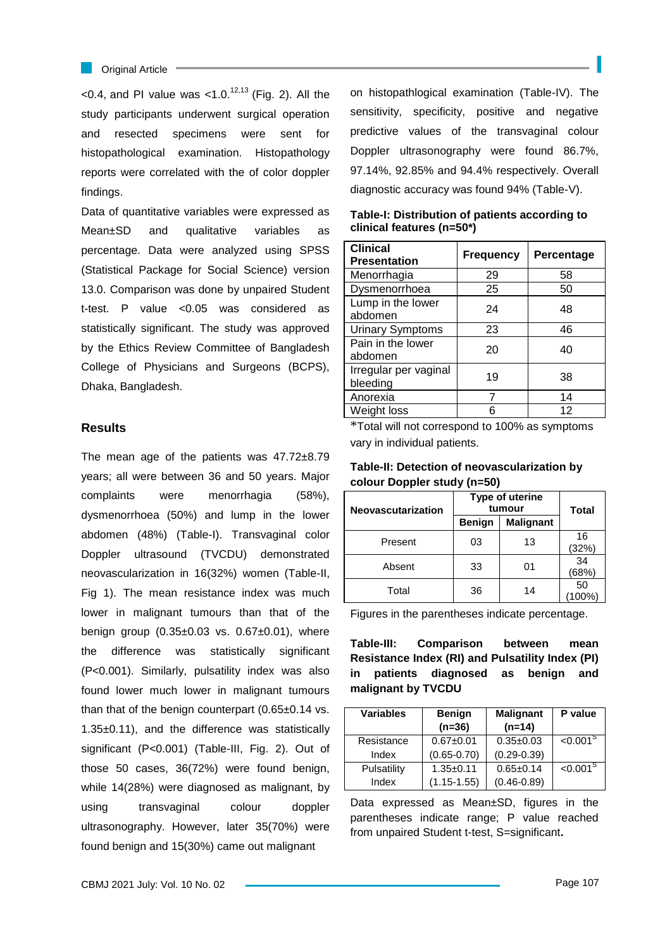$<$ 0.4, and PI value was  $<$ 1.0.<sup>12,13</sup> (Fig. 2). All the study participants underwent surgical operation and resected specimens were sent for histopathological examination. Histopathology reports were correlated with the of color doppler findings.

Data of quantitative variables were expressed as Mean±SD and qualitative variables as percentage. Data were analyzed using SPSS (Statistical Package for Social Science) version 13.0. Comparison was done by unpaired Student t-test. P value <0.05 was considered as statistically significant. The study was approved by the Ethics Review Committee of Bangladesh College of Physicians and Surgeons (BCPS), Dhaka, Bangladesh.

## **Results**

The mean age of the patients was 47.72±8.79 years; all were between 36 and 50 years. Major complaints were menorrhagia (58%), dysmenorrhoea (50%) and lump in the lower abdomen (48%) (Table-I). Transvaginal color Doppler ultrasound (TVCDU) demonstrated neovascularization in 16(32%) women (Table-II, Fig 1). The mean resistance index was much lower in malignant tumours than that of the benign group (0.35±0.03 vs. 0.67±0.01), where the difference was statistically significant (P<0.001). Similarly, pulsatility index was also found lower much lower in malignant tumours than that of the benign counterpart (0.65±0.14 vs. 1.35±0.11), and the difference was statistically significant (P<0.001) (Table-III, Fig. 2). Out of those 50 cases, 36(72%) were found benign, while 14(28%) were diagnosed as malignant, by using transvaginal colour doppler ultrasonography. However, later 35(70%) were found benign and 15(30%) came out malignant

on histopathlogical examination (Table-IV). The sensitivity, specificity, positive and negative predictive values of the transvaginal colour Doppler ultrasonography were found 86.7%, 97.14%, 92.85% and 94.4% respectively. Overall diagnostic accuracy was found 94% (Table-V).

|                           | Table-I: Distribution of patients according to |
|---------------------------|------------------------------------------------|
| clinical features (n=50*) |                                                |

| <b>Clinical</b><br><b>Presentation</b> | <b>Frequency</b> | Percentage |
|----------------------------------------|------------------|------------|
| Menorrhagia                            | 29               | 58         |
| Dysmenorrhoea                          | 25               | 50         |
| Lump in the lower<br>abdomen           | 24               | 48         |
| <b>Urinary Symptoms</b>                | 23               | 46         |
| Pain in the lower<br>abdomen           | 20               | 40         |
| Irregular per vaginal<br>bleeding      | 19               | 38         |
| Anorexia                               | 7                | 14         |
| Weight loss                            | 6                | 12         |

\*Total will not correspond to 100% as symptoms vary in individual patients.

**Table-II: Detection of neovascularization by colour Doppler study (n=50)**

| <b>Neovascutarization</b> | Type of uterine<br>tumour |                  | <b>Total</b> |
|---------------------------|---------------------------|------------------|--------------|
|                           | <b>Benign</b>             | <b>Malignant</b> |              |
| Present                   | 03                        | 13               | 16<br>(32%)  |
| Absent                    | 33                        | 01               | 34<br>(68%)  |
| Total                     | 36                        | 14               | 50<br>100%)  |

Figures in the parentheses indicate percentage.

**Table-III: Comparison between mean Resistance Index (RI) and Pulsatility Index (PI) in patients diagnosed as benign and malignant by TVCDU**

| <b>Variables</b> | <b>Benign</b><br>$(n=36)$ | <b>Malignant</b><br>$(n=14)$ | P value                |
|------------------|---------------------------|------------------------------|------------------------|
| Resistance       | $0.67 + 0.01$             | $0.35 + 0.03$                | $< 0.001$ <sup>S</sup> |
| Index            | $(0.65 - 0.70)$           | $(0.29 - 0.39)$              |                        |
| Pulsatility      | $1.35 + 0.11$             | $0.65 + 0.14$                | $< 0.001$ <sup>S</sup> |
| Index            | $(1.15 - 1.55)$           | $(0.46 - 0.89)$              |                        |

Data expressed as Mean±SD, figures in the parentheses indicate range; P value reached from unpaired Student t-test, S=significant**.**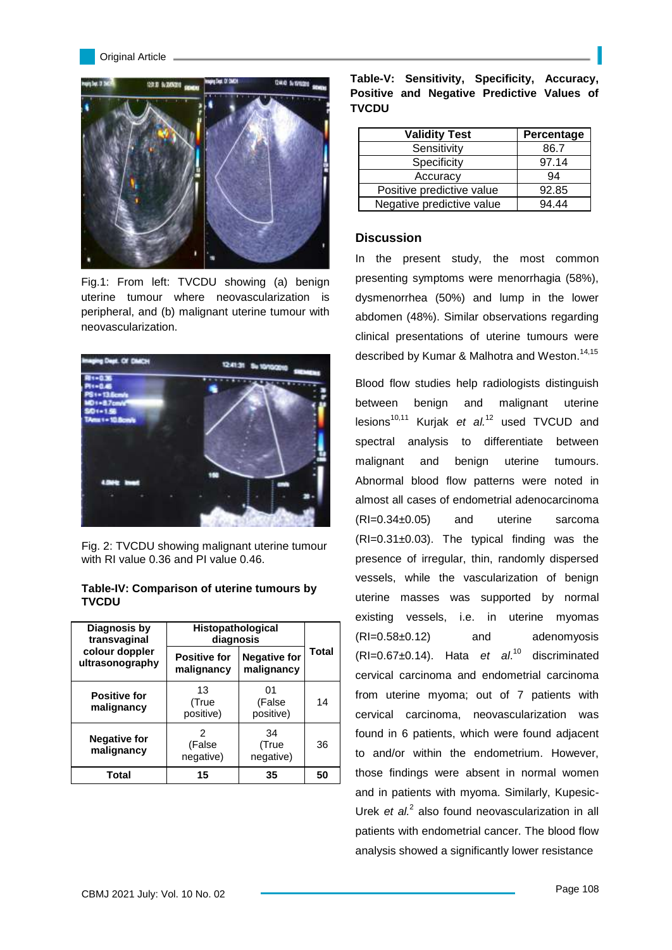

Fig.1: From left: TVCDU showing (a) benign uterine tumour where neovascularization is peripheral, and (b) malignant uterine tumour with neovascularization.



Fig. 2: TVCDU showing malignant uterine tumour with RI value 0.36 and PI value 0.46.

### **Table-IV: Comparison of uterine tumours by TVCDU**

| Diagnosis by<br>transvaginal      | Histopathological<br>diagnosis    |                                   |              |
|-----------------------------------|-----------------------------------|-----------------------------------|--------------|
| colour doppler<br>ultrasonography | <b>Positive for</b><br>malignancy | <b>Negative for</b><br>malignancy | <b>Total</b> |
| <b>Positive for</b><br>malignancy | 13<br>(True<br>positive)          | 01<br>(False<br>positive)         | 14           |
| <b>Negative for</b><br>malignancy | 2<br>(False<br>negative)          | 34<br>(True<br>negative)          | 36           |
| Total                             | 15                                | 35                                | 50           |

**Table-V: Sensitivity, Specificity, Accuracy, Positive and Negative Predictive Values of TVCDU**

| <b>Validity Test</b>      | Percentage |
|---------------------------|------------|
| Sensitivity               | 86.7       |
| Specificity               | 97.14      |
| Accuracy                  | 94         |
| Positive predictive value | 92.85      |
| Negative predictive value | 94.44      |

### **Discussion**

In the present study, the most common presenting symptoms were menorrhagia (58%), dysmenorrhea (50%) and lump in the lower abdomen (48%). Similar observations regarding clinical presentations of uterine tumours were described by Kumar & Malhotra and Weston. 14,15

Blood flow studies help radiologists distinguish between benign and malignant uterine lesions10,11 Kurjak *et al.*<sup>12</sup> used TVCUD and spectral analysis to differentiate between malignant and benign uterine tumours. Abnormal blood flow patterns were noted in almost all cases of endometrial adenocarcinoma (RI=0.34±0.05) and uterine sarcoma (RI=0.31±0.03). The typical finding was the presence of irregular, thin, randomly dispersed vessels, while the vascularization of benign uterine masses was supported by normal existing vessels, i.e. in uterine myomas (RI=0.58±0.12) and adenomyosis (RI=0.67±0.14). Hata *et al*. discriminated cervical carcinoma and endometrial carcinoma from uterine myoma; out of 7 patients with cervical carcinoma, neovascularization was found in 6 patients, which were found adjacent to and/or within the endometrium. However, those findings were absent in normal women and in patients with myoma. Similarly, Kupesic-Urek et al.<sup>2</sup> also found neovascularization in all patients with endometrial cancer. The blood flow analysis showed a significantly lower resistance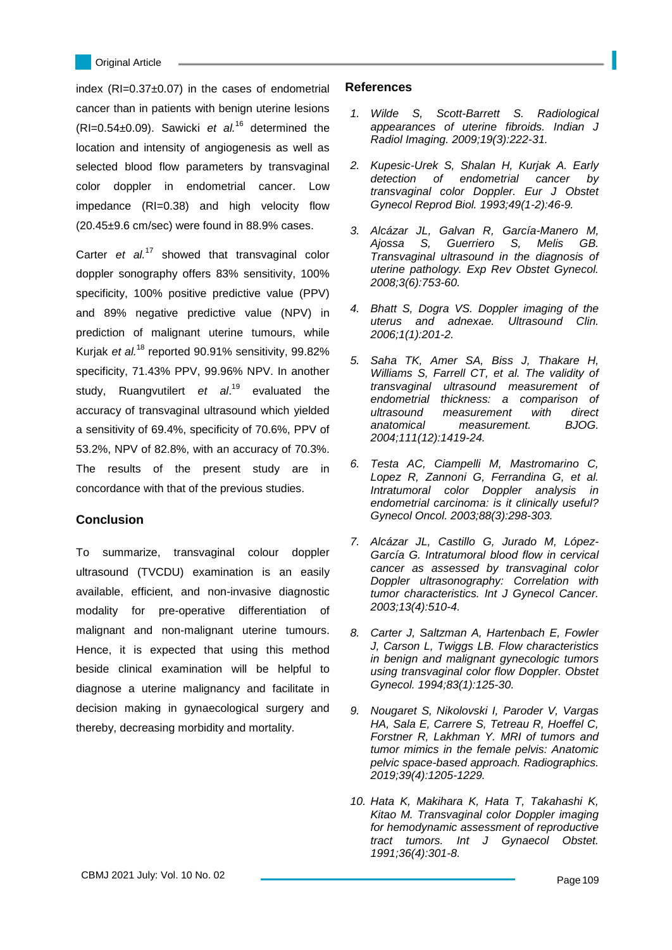L

index (RI=0.37±0.07) in the cases of endometrial cancer than in patients with benign uterine lesions (RI=0.54±0.09). Sawicki *et al.*<sup>16</sup> determined the location and intensity of angiogenesis as well as selected blood flow parameters by transvaginal color doppler in endometrial cancer. Low impedance (RI=0.38) and high velocity flow (20.45±9.6 cm/sec) were found in 88.9% cases.

Carter *et al.<sup>17</sup>* showed that transvaginal color doppler sonography offers 83% sensitivity, 100% specificity, 100% positive predictive value (PPV) and 89% negative predictive value (NPV) in prediction of malignant uterine tumours, while Kurjak *et al.*<sup>18</sup> reported 90.91% sensitivity, 99.82% specificity, 71.43% PPV, 99.96% NPV. In another study, Ruangvutilert *et al*. <sup>19</sup> evaluated the accuracy of transvaginal ultrasound which yielded a sensitivity of 69.4%, specificity of 70.6%, PPV of 53.2%, NPV of 82.8%, with an accuracy of 70.3%. The results of the present study are in concordance with that of the previous studies.

## **Conclusion**

To summarize, transvaginal colour doppler ultrasound (TVCDU) examination is an easily available, efficient, and non-invasive diagnostic modality for pre-operative differentiation of malignant and non-malignant uterine tumours. Hence, it is expected that using this method beside clinical examination will be helpful to diagnose a uterine malignancy and facilitate in decision making in gynaecological surgery and thereby, decreasing morbidity and mortality.

### **References**

- *1. Wilde S, Scott-Barrett S. Radiological appearances of uterine fibroids. Indian J Radiol Imaging. 2009;19(3):222-31.*
- *2. Kupesic-Urek S, Shalan H, Kurjak A. Early detection of endometrial cancer by transvaginal color Doppler. Eur J Obstet Gynecol Reprod Biol. 1993;49(1-2):46-9.*
- *3. Alcázar JL, Galvan R, García-Manero M, Ajossa S, Guerriero S, Melis GB. Transvaginal ultrasound in the diagnosis of uterine pathology. Exp Rev Obstet Gynecol. 2008;3(6):753-60.*
- *4. Bhatt S, Dogra VS. Doppler imaging of the uterus and adnexae. Ultrasound Clin. 2006;1(1):201-2.*
- *5. Saha TK, Amer SA, Biss J, Thakare H, Williams S, Farrell CT, et al. The validity of transvaginal ultrasound measurement of endometrial thickness: a comparison of ultrasound measurement with direct anatomical measurement. BJOG. 2004;111(12):1419-24.*
- *6. Testa AC, Ciampelli M, Mastromarino C, Lopez R, Zannoni G, Ferrandina G, et al. Intratumoral color Doppler analysis in endometrial carcinoma: is it clinically useful? Gynecol Oncol. 2003;88(3):298-303.*
- *7. Alcázar JL, Castillo G, Jurado M, López-García G. Intratumoral blood flow in cervical cancer as assessed by transvaginal color Doppler ultrasonography: Correlation with tumor characteristics. Int J Gynecol Cancer. 2003;13(4):510-4.*
- *8. Carter J, Saltzman A, Hartenbach E, Fowler J, Carson L, Twiggs LB. Flow characteristics in benign and malignant gynecologic tumors using transvaginal color flow Doppler. Obstet Gynecol. 1994;83(1):125-30.*
- *9. Nougaret S, Nikolovski I, Paroder V, Vargas HA, Sala E, Carrere S, Tetreau R, Hoeffel C, Forstner R, Lakhman Y. MRI of tumors and tumor mimics in the female pelvis: Anatomic pelvic space-based approach. Radiographics. 2019;39(4):1205-1229.*
- *10. Hata K, Makihara K, Hata T, Takahashi K, Kitao M. Transvaginal color Doppler imaging for hemodynamic assessment of reproductive tract tumors. Int J Gynaecol Obstet. 1991;36(4):301-8.*

CBMJ 2021 July: Vol. 10 No. 02